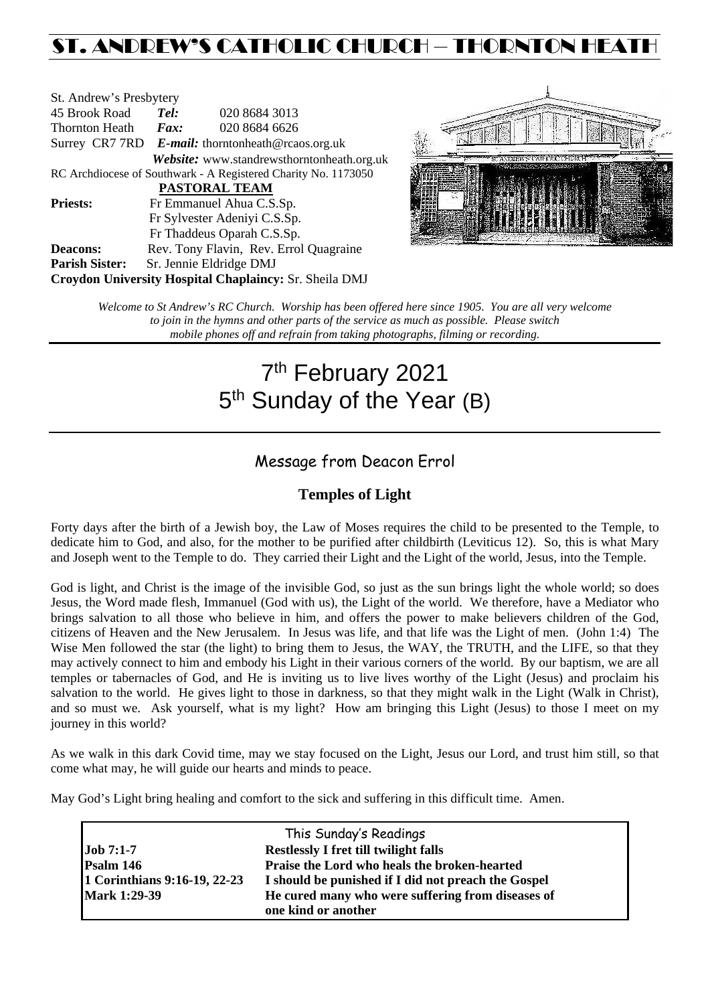## ST. ANDREW'S CATHOLIC CHURCH – THORNTON HEAT

| St. Andrew's Presbytery                                        |                                                   |                                            |  |  |  |
|----------------------------------------------------------------|---------------------------------------------------|--------------------------------------------|--|--|--|
| 45 Brook Road                                                  | Tel:                                              | 020 8684 3013                              |  |  |  |
| <b>Thornton Heath</b>                                          | Fax:                                              | 020 8684 6626                              |  |  |  |
|                                                                | Surrey CR7 7RD E-mail: thorntonheath@rcaos.org.uk |                                            |  |  |  |
|                                                                |                                                   | Website: www.standrewsthorntonheath.org.uk |  |  |  |
| RC Archdiocese of Southwark - A Registered Charity No. 1173050 |                                                   |                                            |  |  |  |
| <b>PASTORAL TEAM</b>                                           |                                                   |                                            |  |  |  |
| <b>Priests:</b>                                                |                                                   | Fr Emmanuel Ahua C.S.Sp.                   |  |  |  |
|                                                                | Fr Sylvester Adeniyi C.S.Sp.                      |                                            |  |  |  |
|                                                                |                                                   | Fr Thaddeus Oparah C.S.Sp.                 |  |  |  |
| <b>Deacons:</b>                                                |                                                   | Rev. Tony Flavin, Rev. Errol Quagraine     |  |  |  |
| <b>Parish Sister:</b>                                          |                                                   | Sr. Jennie Eldridge DMJ                    |  |  |  |
| Croydon University Hospital Chaplaincy: Sr. Sheila DMJ         |                                                   |                                            |  |  |  |



*Welcome to St Andrew's RC Church. Worship has been offered here since 1905. You are all very welcome to join in the hymns and other parts of the service as much as possible. Please switch mobile phones off and refrain from taking photographs, filming or recording.*

# 7<sup>th</sup> February 2021 5<sup>th</sup> Sunday of the Year (B)

### Message from Deacon Errol

#### **Temples of Light**

Forty days after the birth of a Jewish boy, the Law of Moses requires the child to be presented to the Temple, to dedicate him to God, and also, for the mother to be purified after childbirth (Leviticus 12). So, this is what Mary and Joseph went to the Temple to do. They carried their Light and the Light of the world, Jesus, into the Temple.

God is light, and Christ is the image of the invisible God, so just as the sun brings light the whole world; so does Jesus, the Word made flesh, Immanuel (God with us), the Light of the world. We therefore, have a Mediator who brings salvation to all those who believe in him, and offers the power to make believers children of the God, citizens of Heaven and the New Jerusalem. In Jesus was life, and that life was the Light of men. (John 1:4) The Wise Men followed the star (the light) to bring them to Jesus, the WAY, the TRUTH, and the LIFE, so that they may actively connect to him and embody his Light in their various corners of the world. By our baptism, we are all temples or tabernacles of God, and He is inviting us to live lives worthy of the Light (Jesus) and proclaim his salvation to the world. He gives light to those in darkness, so that they might walk in the Light (Walk in Christ), and so must we. Ask yourself, what is my light? How am bringing this Light (Jesus) to those I meet on my journey in this world?

As we walk in this dark Covid time, may we stay focused on the Light, Jesus our Lord, and trust him still, so that come what may, he will guide our hearts and minds to peace.

May God's Light bring healing and comfort to the sick and suffering in this difficult time. Amen.

|                              | This Sunday's Readings                              |  |
|------------------------------|-----------------------------------------------------|--|
| $\mathrm{Job}$ 7:1-7         | <b>Restlessly I fret till twilight falls</b>        |  |
| Psalm 146                    | Praise the Lord who heals the broken-hearted        |  |
| 1 Corinthians 9:16-19, 22-23 | I should be punished if I did not preach the Gospel |  |
| <b>Mark 1:29-39</b>          | He cured many who were suffering from diseases of   |  |
|                              | one kind or another                                 |  |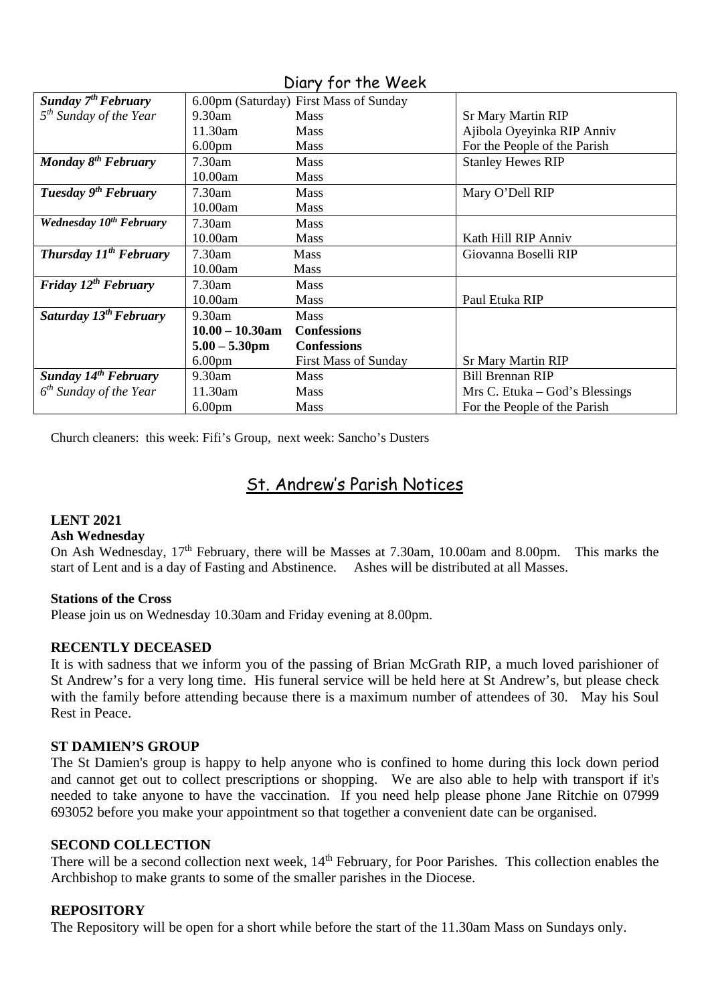| <b>Sunday 7th February</b>          |                    | 6.00pm (Saturday) First Mass of Sunday |                                |
|-------------------------------------|--------------------|----------------------------------------|--------------------------------|
| $5th$ Sunday of the Year            | $9.30$ am          | <b>Mass</b>                            | <b>Sr Mary Martin RIP</b>      |
|                                     | 11.30am            | <b>Mass</b>                            | Ajibola Oyeyinka RIP Anniv     |
|                                     | 6.00 <sub>pm</sub> | <b>Mass</b>                            | For the People of the Parish   |
| Monday $8^{th}$ February            | 7.30am             | <b>Mass</b>                            | <b>Stanley Hewes RIP</b>       |
|                                     | 10.00am            | <b>Mass</b>                            |                                |
| Tuesday 9 <sup>th</sup> February    | 7.30am             | <b>Mass</b>                            | Mary O'Dell RIP                |
|                                     | 10.00am            | <b>Mass</b>                            |                                |
| Wednesday 10 <sup>th</sup> February | 7.30am             | <b>Mass</b>                            |                                |
|                                     | 10.00am            | <b>Mass</b>                            | Kath Hill RIP Anniv            |
| <b>Thursday 11th February</b>       | 7.30am             | Mass                                   | Giovanna Boselli RIP           |
|                                     | 10.00am            | Mass                                   |                                |
| Friday $12^{th}$ February           | 7.30am             | <b>Mass</b>                            |                                |
|                                     | 10.00am            | <b>Mass</b>                            | Paul Etuka RIP                 |
| Saturday $13^{th}$ February         | 9.30am             | <b>Mass</b>                            |                                |
|                                     | $10.00 - 10.30$ am | <b>Confessions</b>                     |                                |
|                                     | $5.00 - 5.30$ pm   | <b>Confessions</b>                     |                                |
|                                     | 6.00 <sub>pm</sub> | <b>First Mass of Sunday</b>            | <b>Sr Mary Martin RIP</b>      |
| Sunday 14 <sup>th</sup> February    | $9.30$ am          | <b>Mass</b>                            | <b>Bill Brennan RIP</b>        |
| $6th$ Sunday of the Year            | 11.30am            | <b>Mass</b>                            | Mrs C. Etuka – God's Blessings |
|                                     | 6.00 <sub>pm</sub> | Mass                                   | For the People of the Parish   |

#### Diary for the Week

Church cleaners: this week: Fifi's Group, next week: Sancho's Dusters

## St. Andrew's Parish Notices

#### **LENT 2021**

#### **Ash Wednesday**

On Ash Wednesday, 17<sup>th</sup> February, there will be Masses at 7.30am, 10.00am and 8.00pm. This marks the start of Lent and is a day of Fasting and Abstinence. Ashes will be distributed at all Masses.

#### **Stations of the Cross**

Please join us on Wednesday 10.30am and Friday evening at 8.00pm.

#### **RECENTLY DECEASED**

It is with sadness that we inform you of the passing of Brian McGrath RIP, a much loved parishioner of St Andrew's for a very long time. His funeral service will be held here at St Andrew's, but please check with the family before attending because there is a maximum number of attendees of 30. May his Soul Rest in Peace.

#### **ST DAMIEN'S GROUP**

The St Damien's group is happy to help anyone who is confined to home during this lock down period and cannot get out to collect prescriptions or shopping. We are also able to help with transport if it's needed to take anyone to have the vaccination. If you need help please phone Jane Ritchie on 07999 693052 before you make your appointment so that together a convenient date can be organised.

#### **SECOND COLLECTION**

There will be a second collection next week,  $14<sup>th</sup>$  February, for Poor Parishes. This collection enables the Archbishop to make grants to some of the smaller parishes in the Diocese.

#### **REPOSITORY**

The Repository will be open for a short while before the start of the 11.30am Mass on Sundays only.